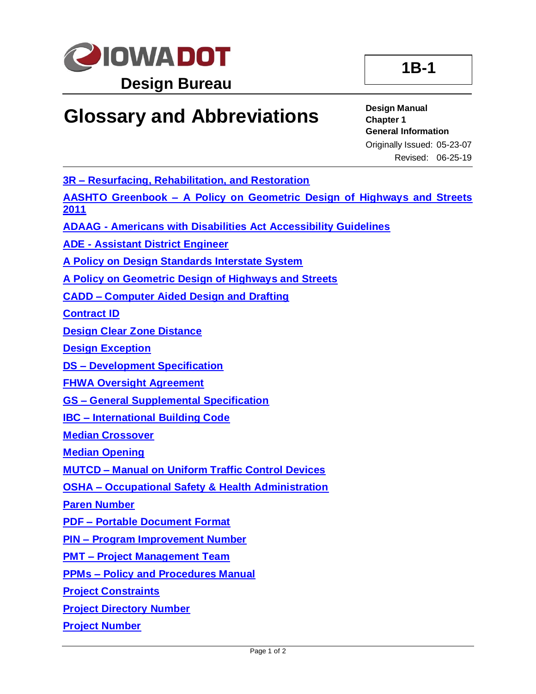

## **Glossary and Abbreviations**

## **Design Manual Chapter 1 General Information**

Originally Issued: 05-23-07 Revised: 06-25-19

**3R – [Resurfacing, Rehabilitation, and Restoration](01B-01/3R.pdf)**

**AASHTO Greenbook – [A Policy on Geometric Design of Highways and Streets](01B-01/AASHTOGreenbook.pdf)  [2011](01B-01/AASHTOGreenbook.pdf)**

**ADAAG - [Americans with Disabilities Act Accessibility Guidelines](01B-01/ADAAG.pdf)**

**ADE - [Assistant District Engineer](01B-01/ADE.pdf)**

**[A Policy on Design Standards Interstate System](01B-01/APolicyOnDesignStandardsInterstateSystem.pdf)**

**[A Policy on Geometric Design of Highways and Streets](01B-01/APolicyonGeometricDesign.pdf)**

**CADD – [Computer Aided Design and Drafting](01B-01/CADD.pdf)**

**[Contract ID](01B-01/ContractID.pdf)**

**[Design Clear Zone Distance](01B-01/DesignClearZoneDistance.pdf)**

**[Design Exception](01B-01/DesignException.pdf)**

**DS – [Development Specification](01B-01/DS.pdf)**

**[FHWA Oversight Agreement](01B-01/FHWAOversightAgreement.pdf)**

**GS – [General Supplemental Specification](01B-01/GS.pdf)**

**IBC – [International Building Code](01B-01/IBC.pdf)**

**[Median Crossover](01B-01/MedianCrossover.pdf)**

**[Median Opening](01B-01/MedianOpening.pdf)**

**MUTCD – Manual on [Uniform Traffic Control Devices](01B-01/MUTCD.pdf)**

**OSHA – [Occupational Safety & Health Administration](01B-01/OSHA.pdf)**

**[Paren Number](01B-01/ParenNumber.pdf)**

**PDF – [Portable Document Format](01B-01/PDF.pdf)**

**PIN – [Program Improvement Number](01B-01/PIN.pdf)**

**PMT – [Project Management Team](01B-01/PMT.pdf)**

**PPMs – [Policy and Procedures Manual](01B-01/PPMs.pdf)**

**[Project Constraints](01B-01/ProjectConstraints.pdf)**

**[Project Directory Number](01B-01/ProjectDirectoryNumber.pdf)**

**[Project Number](01B-01/ProjectNumber.pdf)**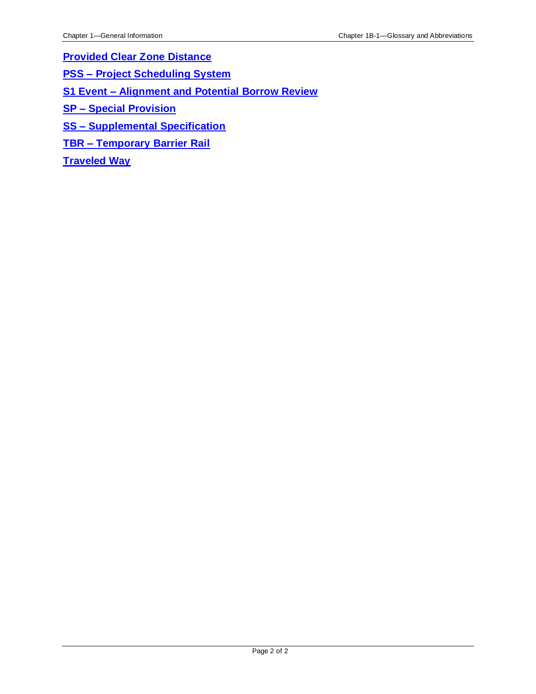**[Provided Clear Zone Distance](01B-01/ProvidedClearZoneDistance.pdf)**

**PSS – [Project Scheduling System](01B-01/PSS.pdf)**

**S1 Event – [Alignment and Potential Borrow Review](01B-01/S1Event.pdf)**

**SP – [Special Provision](01B-01/SP.pdf)**

**SS – [Supplemental Specification](01B-01/SS.pdf)**

**TBR – [Temporary Barrier Rail](01B-01/TBR.pdf)**

**[Traveled Way](01B-01/TraveledWay.pdf)**